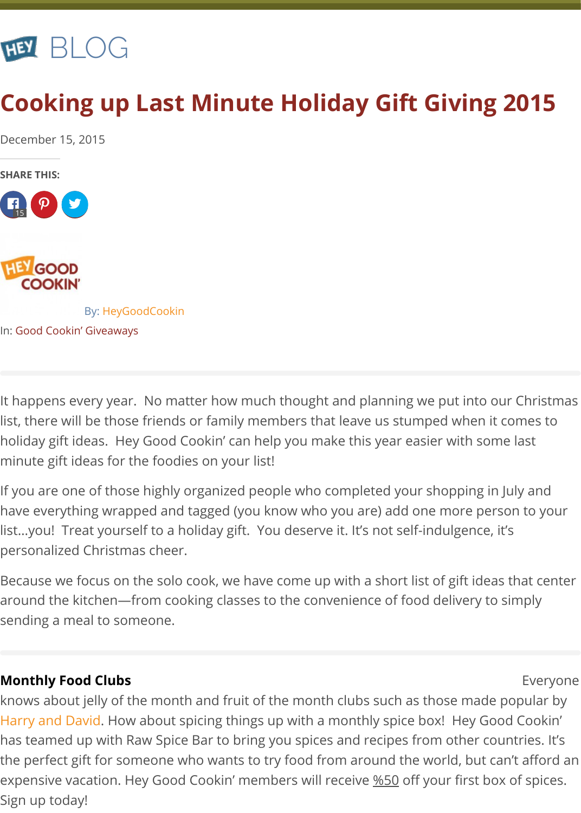

# **Cooking up Last Minute Holiday Gift Giving 2015**

December 15, 2015

**SHARE THIS:**





By: HeyGoodCookin

In: Good Cookin' Giveaways

It happens every year. No matter how much thought and planning we put into our Christmas list, there will be those friends or family members that leave us stumped when it comes to holiday gift ideas. Hey Good Cookin' can help you make this year easier with some last minute gift ideas for the foodies on your list!

If you are one of those highly organized people who completed your shopping in July and have everything wrapped and tagged (you know who you are) add one more person to your list…you! Treat yourself to a holiday gift. You deserve it. It's not self-indulgence, it's personalized Christmas cheer.

Because we focus on the solo cook, we have come up with a short list of gift ideas that center around the kitchen—from cooking classes to the convenience of food delivery to simply sending a meal to someone.

## **Monthly Food Clubs Expenditure Expenditure Control Clubs Expenditure Expenditure Expenditure Expenditure Expenditure Expenditure Expenditure Expenditure Expenditure Expenditure Expenditure Expenditure Expenditure Expe**

knows about jelly of the month and fruit of the month clubs such as those made popular by Harry and David. How about spicing things up with a monthly spice box! Hey Good Cookin' has teamed up with Raw Spice Bar to bring you spices and recipes from other countries. It's the perfect gift for someone who wants to try food from around the world, but can't afford an expensive vacation. Hey Good Cookin' members will receive %50 off your first box of spices. Sign up today!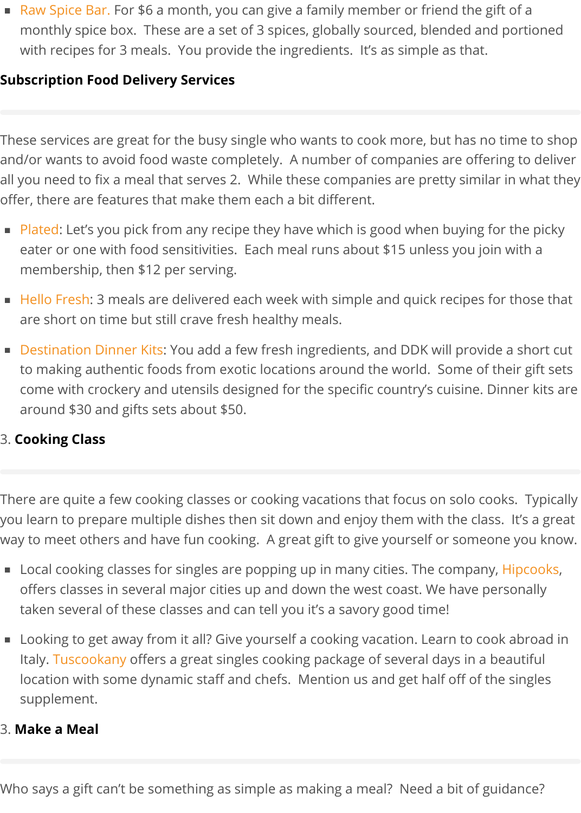Raw Spice Bar. For \$6 a month, you can give a family member or friend the gift of a monthly spice box. These are a set of 3 spices, globally sourced, blended and portioned with recipes for 3 meals. You provide the ingredients. It's as simple as that.

#### **Subscription Food Delivery Services**

These services are great for the busy single who wants to cook more, but has no time to shop and/or wants to avoid food waste completely. A number of companies are offering to deliver all you need to fix a meal that serves 2. While these companies are pretty similar in what they offer, there are features that make them each a bit different.

- Plated: Let's you pick from any recipe they have which is good when buying for the picky eater or one with food sensitivities. Each meal runs about \$15 unless you join with a membership, then \$12 per serving.
- Hello Fresh: 3 meals are delivered each week with simple and quick recipes for those that are short on time but still crave fresh healthy meals.
- Destination Dinner Kits: You add a few fresh ingredients, and DDK will provide a short cut to making authentic foods from exotic locations around the world. Some of their gift sets come with crockery and utensils designed for the specific country's cuisine. Dinner kits are around \$30 and gifts sets about \$50.

## 3. **Cooking Class**

There are quite a few cooking classes or cooking vacations that focus on solo cooks. Typically you learn to prepare multiple dishes then sit down and enjoy them with the class. It's a great way to meet others and have fun cooking. A great gift to give yourself or someone you know.

- Local cooking classes for singles are popping up in many cities. The company, Hipcooks, offers classes in several major cities up and down the west coast. We have personally taken several of these classes and can tell you it's a savory good time!
- **Looking to get away from it all? Give yourself a cooking vacation. Learn to cook abroad in** Italy. [Tuscookany](https://tuscookany.com) offers a great singles cooking package of several days in a beautiful location with some dynamic staff and chefs. Mention us and get half off of the singles supplement.

#### 3. **Make a Meal**

Who says a gift can't be something as simple as making a meal? Need a bit of guidance?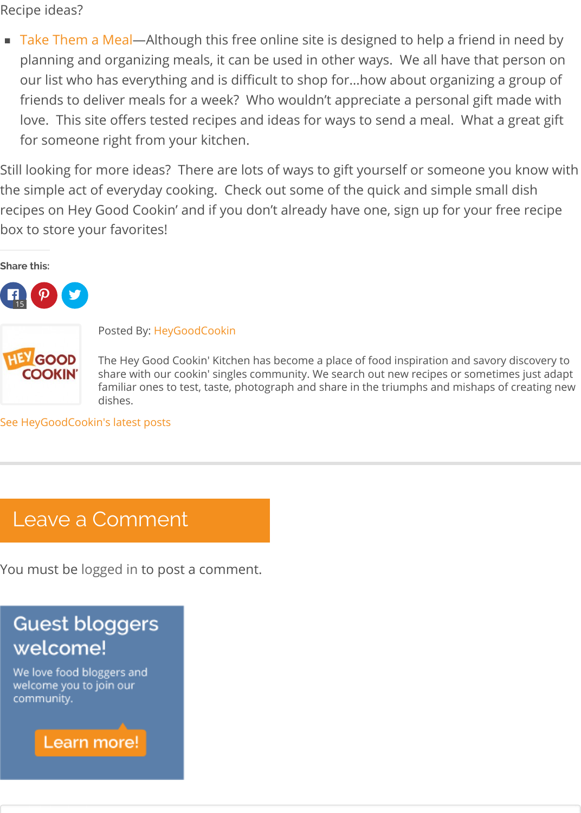Recipe ideas?

Take Them a Meal—Although this free online site is designed to help a friend in need by planning and organizing meals, it can be used in other ways. We all have that person on our list who has everything and is difficult to shop for…how about organizing a group of friends to deliver meals for a week? Who wouldn't appreciate a personal gift made with love. This site offers tested recipes and ideas for ways to send a meal. What a great gift for someone right from your kitchen.

Still looking for more ideas? There are lots of ways to gift yourself or someone you know with the simple act of everyday cooking. Check out some of the quick and simple small dish recipes on Hey Good Cookin' and if you don't already have one, sign up for your free recipe box to store your favorites!

**Share this:**



Posted By: HeyGoodCookin

The Hey Good Cookin' Kitchen has become a place of food inspiration and savory discovery to share with our cookin' singles community. We search out new recipes or sometimes just adapt familiar ones to test, taste, photograph and share in the triumphs and mishaps of creating new dishes.

See HeyGoodCookin's latest posts

## Leave a Comment

You must be logged in to post a comment.

## **Guest bloggers** welcome!

We love food bloggers and welcome you to join our community.